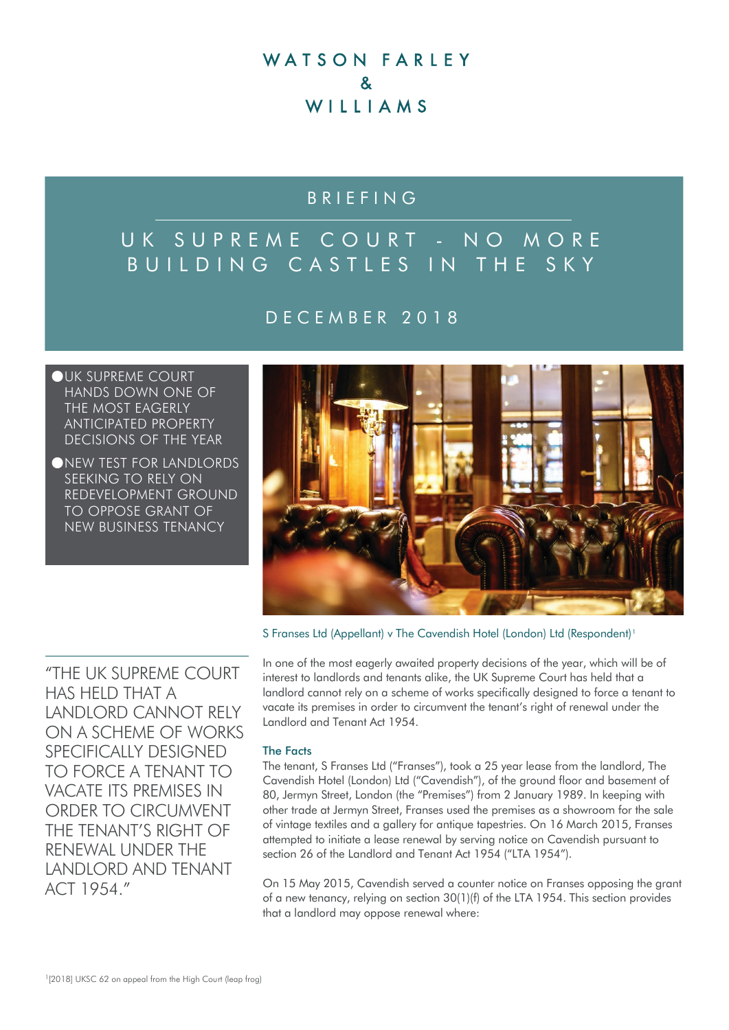## WATSON FARLEY  $\mathbf{z}$ WIIIAMS

## BRIEFING

# UK SUPREME COURT - NO MORE BUILDING CASTLES IN THE SKY

### DECEMBER 2018

OUK SUPREME COURT HANDS DOWN ONE OF THE MOST EAGERLY ANTICIPATED PROPERTY DECISIONS OF THE YEAR

●NEW TEST FOR LANDLORDS SEEKING TO RELY ON REDEVELOPMENT GROUND TO OPPOSE GRANT OF NEW BUSINESS TENANCY



S Franses Ltd (Appellant) v The Cavendish Hotel (London) Ltd (Respondent)<sup>[1](#page-0-0)</sup>

"THE UK SUPREME COURT HAS HELD THAT A LANDLORD CANNOT RELY ON A SCHEME OF WORKS SPECIFICALLY DESIGNED TO FORCE A TENANT TO VACATE ITS PREMISES IN ORDER TO CIRCUMVENT THE TENANT'S RIGHT OF RENEWAL UNDER THE LANDLORD AND TENANT ACT 1954."

In one of the most eagerly awaited property decisions of the year, which will be of interest to landlords and tenants alike, the UK Supreme Court has held that a landlord cannot rely on a scheme of works specifically designed to force a tenant to vacate its premises in order to circumvent the tenant's right of renewal under the Landlord and Tenant Act 1954.

#### The Facts

The tenant, S Franses Ltd ("Franses"), took a 25 year lease from the landlord, The Cavendish Hotel (London) Ltd ("Cavendish"), of the ground floor and basement of 80, Jermyn Street, London (the "Premises") from 2 January 1989. In keeping with other trade at Jermyn Street, Franses used the premises as a showroom for the sale of vintage textiles and a gallery for antique tapestries. On 16 March 2015, Franses attempted to initiate a lease renewal by serving notice on Cavendish pursuant to section 26 of the Landlord and Tenant Act 1954 ("LTA 1954").

<span id="page-0-0"></span>On 15 May 2015, Cavendish served a counter notice on Franses opposing the grant of a new tenancy, relying on section 30(1)(f) of the LTA 1954. This section provides that a landlord may oppose renewal where: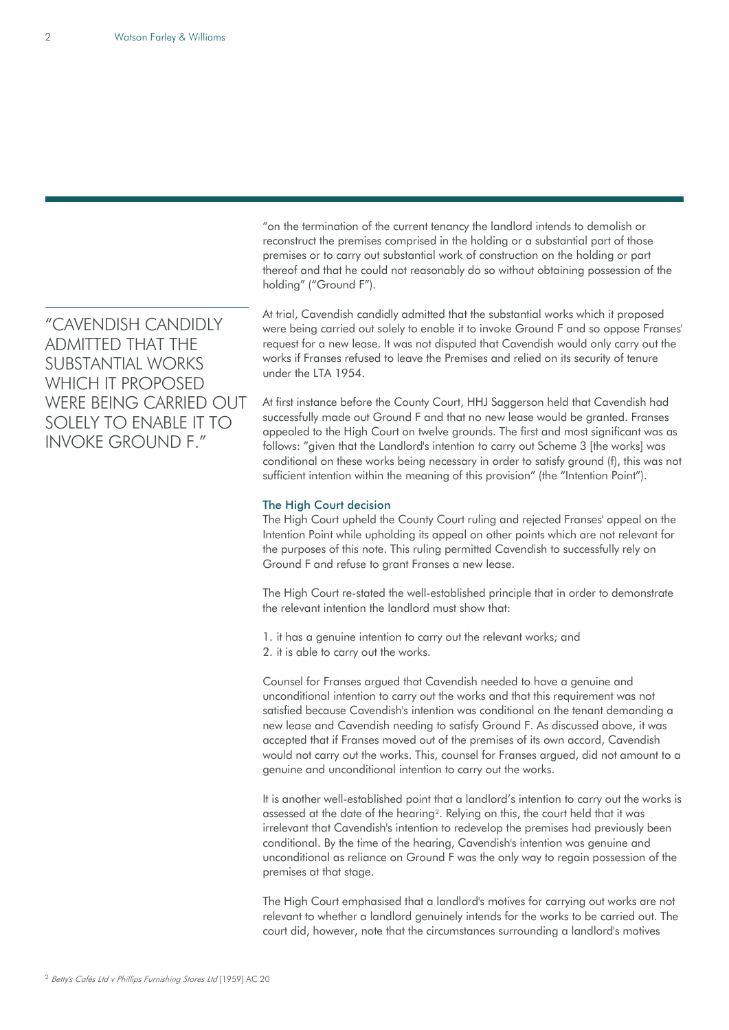"CAVENDISH CANDIDLY ADMITTED THAT THE SUBSTANTIAL WORKS WHICH IT PROPOSED WERE BEING CARRIED OUT SOLELY TO ENABLE IT TO INVOKE GROUND F."

"on the termination of the current tenancy the landlord intends to demolish or reconstruct the premises comprised in the holding or a substantial part of those premises or to carry out substantial work of construction on the holding or part thereof and that he could not reasonably do so without obtaining possession of the holding" ("Ground F").

At trial, Cavendish candidly admitted that the substantial works which it proposed were being carried out solely to enable it to invoke Ground F and so oppose Franses' request for a new lease. It was not disputed that Cavendish would only carry out the works if Franses refused to leave the Premises and relied on its security of tenure under the LTA 1954.

At first instance before the County Court, HHJ Saggerson held that Cavendish had successfully made out Ground F and that no new lease would be granted. Franses appealed to the High Court on twelve grounds. The first and most significant was as follows: "given that the Landlord's intention to carry out Scheme 3 [the works] was conditional on these works being necessary in order to satisfy ground (f), this was not sufficient intention within the meaning of this provision" (the "Intention Point").

#### The High Court decision

The High Court upheld the County Court ruling and rejected Franses' appeal on the Intention Point while upholding its appeal on other points which are not relevant for the purposes of this note. This ruling permitted Cavendish to successfully rely on Ground F and refuse to grant Franses a new lease.

The High Court re-stated the well-established principle that in order to demonstrate the relevant intention the landlord must show that:

1. it has a genuine intention to carry out the relevant works; and 2. it is able to carry out the works.

Counsel for Franses argued that Cavendish needed to have a genuine and unconditional intention to carry out the works and that this requirement was not satisfied because Cavendish's intention was conditional on the tenant demanding a new lease and Cavendish needing to satisfy Ground F. As discussed above, it was accepted that if Franses moved out of the premises of its own accord, Cavendish would not carry out the works. This, counsel for Franses argued, did not amount to a genuine and unconditional intention to carry out the works.

It is another well-established point that a landlord's intention to carry out the works is assessed at the date of the hearing<sup>2</sup>. Relying on this, the court held that it was irrelevant that Cavendish's intention to redevelop the premises had previously been conditional. By the time of the hearing, Cavendish's intention was genuine and unconditional as reliance on Ground F was the only way to regain possession of the premises at that stage.

<span id="page-1-0"></span>The High Court emphasised that a landlord's motives for carrying out works are not relevant to whether a landlord genuinely intends for the works to be carried out. The court did, however, note that the circumstances surrounding a landlord's motives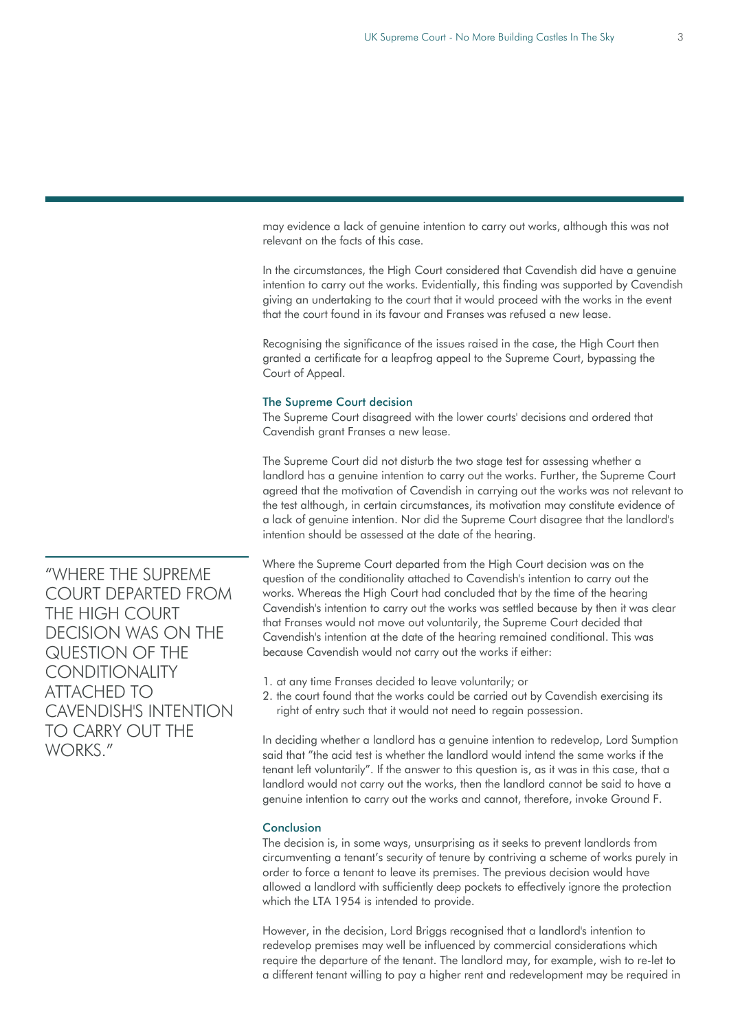may evidence a lack of genuine intention to carry out works, although this was not relevant on the facts of this case.

In the circumstances, the High Court considered that Cavendish did have a genuine intention to carry out the works. Evidentially, this finding was supported by Cavendish giving an undertaking to the court that it would proceed with the works in the event that the court found in its favour and Franses was refused a new lease.

Recognising the significance of the issues raised in the case, the High Court then granted a certificate for a leapfrog appeal to the Supreme Court, bypassing the Court of Appeal.

#### The Supreme Court decision

The Supreme Court disagreed with the lower courts' decisions and ordered that Cavendish grant Franses a new lease.

The Supreme Court did not disturb the two stage test for assessing whether a landlord has a genuine intention to carry out the works. Further, the Supreme Court agreed that the motivation of Cavendish in carrying out the works was not relevant to the test although, in certain circumstances, its motivation may constitute evidence of a lack of genuine intention. Nor did the Supreme Court disagree that the landlord's intention should be assessed at the date of the hearing.

Where the Supreme Court departed from the High Court decision was on the question of the conditionality attached to Cavendish's intention to carry out the works. Whereas the High Court had concluded that by the time of the hearing Cavendish's intention to carry out the works was settled because by then it was clear that Franses would not move out voluntarily, the Supreme Court decided that Cavendish's intention at the date of the hearing remained conditional. This was because Cavendish would not carry out the works if either:

- 1. at any time Franses decided to leave voluntarily; or
- 2. the court found that the works could be carried out by Cavendish exercising its right of entry such that it would not need to regain possession.

In deciding whether a landlord has a genuine intention to redevelop, Lord Sumption said that "the acid test is whether the landlord would intend the same works if the tenant left voluntarily". If the answer to this question is, as it was in this case, that a landlord would not carry out the works, then the landlord cannot be said to have a genuine intention to carry out the works and cannot, therefore, invoke Ground F.

#### Conclusion

The decision is, in some ways, unsurprising as it seeks to prevent landlords from circumventing a tenant's security of tenure by contriving a scheme of works purely in order to force a tenant to leave its premises. The previous decision would have allowed a landlord with sufficiently deep pockets to effectively ignore the protection which the LTA 1954 is intended to provide.

However, in the decision, Lord Briggs recognised that a landlord's intention to redevelop premises may well be influenced by commercial considerations which require the departure of the tenant. The landlord may, for example, wish to re-let to a different tenant willing to pay a higher rent and redevelopment may be required in

"WHERE THE SUPREME COURT DEPARTED FROM THE HIGH COURT DECISION WAS ON THE QUESTION OF THE **CONDITIONALITY** ATTACHED TO CAVENDISH'S INTENTION TO CARRY OUT THE WORKS<sup>"</sup>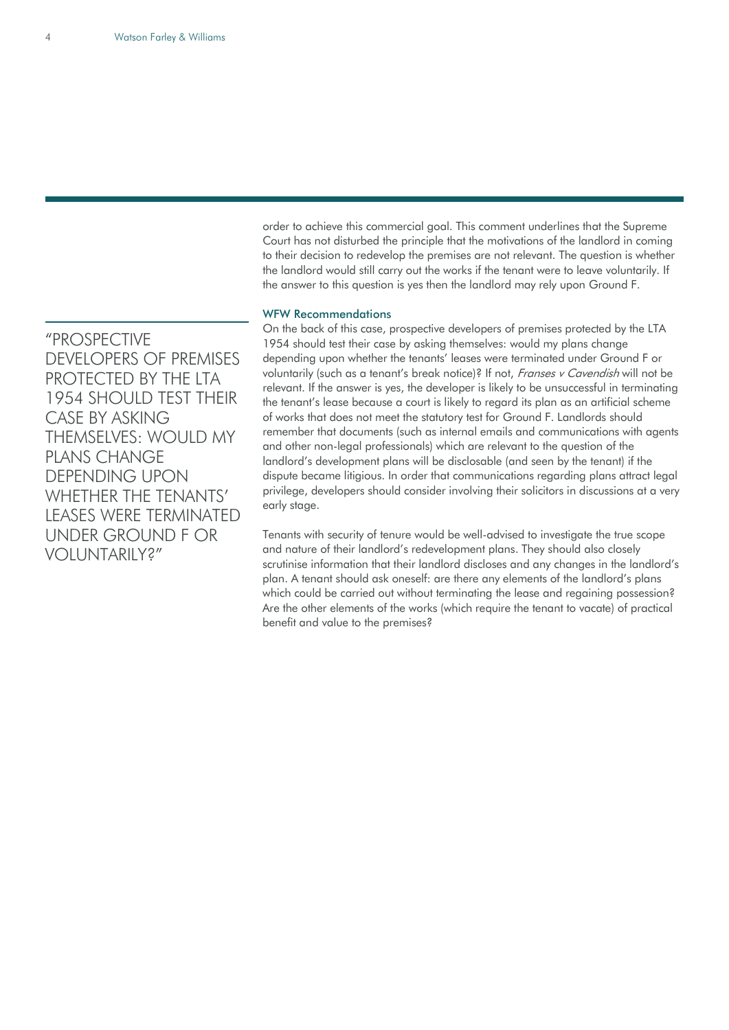"PROSPECTIVE DEVELOPERS OF PREMISES PROTECTED BY THE LTA 1954 SHOULD TEST THEIR CASE BY ASKING THEMSELVES: WOULD MY PLANS CHANGE DEPENDING UPON WHETHER THE TENANTS' LEASES WERE TERMINATED UNDER GROUND F OR VOLUNTARILY?"

order to achieve this commercial goal. This comment underlines that the Supreme Court has not disturbed the principle that the motivations of the landlord in coming to their decision to redevelop the premises are not relevant. The question is whether the landlord would still carry out the works if the tenant were to leave voluntarily. If the answer to this question is yes then the landlord may rely upon Ground F.

#### WFW Recommendations

On the back of this case, prospective developers of premises protected by the LTA 1954 should test their case by asking themselves: would my plans change depending upon whether the tenants' leases were terminated under Ground F or voluntarily (such as a tenant's break notice)? If not, Franses v Cavendish will not be relevant. If the answer is yes, the developer is likely to be unsuccessful in terminating the tenant's lease because a court is likely to regard its plan as an artificial scheme of works that does not meet the statutory test for Ground F. Landlords should remember that documents (such as internal emails and communications with agents and other non-legal professionals) which are relevant to the question of the landlord's development plans will be disclosable (and seen by the tenant) if the dispute became litigious. In order that communications regarding plans attract legal privilege, developers should consider involving their solicitors in discussions at a very early stage.

Tenants with security of tenure would be well-advised to investigate the true scope and nature of their landlord's redevelopment plans. They should also closely scrutinise information that their landlord discloses and any changes in the landlord's plan. A tenant should ask oneself: are there any elements of the landlord's plans which could be carried out without terminating the lease and regaining possession? Are the other elements of the works (which require the tenant to vacate) of practical benefit and value to the premises?